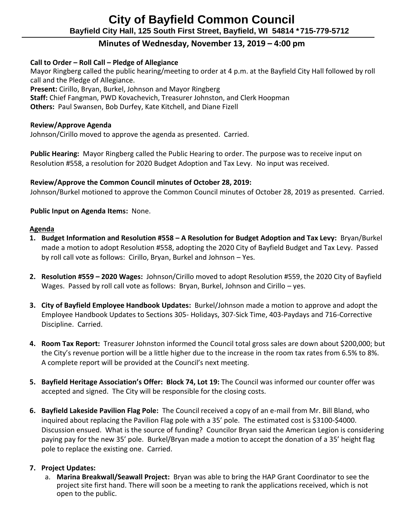# **Minutes of Wednesday, November 13, 2019 – 4:00 pm**

# **Call to Order – Roll Call – Pledge of Allegiance**

Mayor Ringberg called the public hearing/meeting to order at 4 p.m. at the Bayfield City Hall followed by roll call and the Pledge of Allegiance.

 **Present:** Cirillo, Bryan, Burkel, Johnson and Mayor Ringberg

 **Staff:** Chief Fangman, PWD Kovachevich, Treasurer Johnston, and Clerk Hoopman

 **Others:** Paul Swansen, Bob Durfey, Kate Kitchell, and Diane Fizell

## **Review/Approve Agenda**

Johnson/Cirillo moved to approve the agenda as presented. Carried.

 **Public Hearing:** Mayor Ringberg called the Public Hearing to order. The purpose was to receive input on Resolution #558, a resolution for 2020 Budget Adoption and Tax Levy. No input was received.

# **Review/Approve the Common Council minutes of October 28, 2019:**

Johnson/Burkel motioned to approve the Common Council minutes of October 28, 2019 as presented. Carried.

# **Public Input on Agenda Items:** None.

## **Agenda**

- **1. Budget Information and Resolution #558 – A Resolution for Budget Adoption and Tax Levy:** Bryan/Burkel made a motion to adopt Resolution #558, adopting the 2020 City of Bayfield Budget and Tax Levy. Passed by roll call vote as follows: Cirillo, Bryan, Burkel and Johnson – Yes.
- **2. Resolution #559 – 2020 Wages:** Johnson/Cirillo moved to adopt Resolution #559, the 2020 City of Bayfield Wages. Passed by roll call vote as follows: Bryan, Burkel, Johnson and Cirillo – yes.
- **3. City of Bayfield Employee Handbook Updates:** Burkel/Johnson made a motion to approve and adopt the Employee Handbook Updates to Sections 305- Holidays, 307-Sick Time, 403-Paydays and 716-Corrective Discipline. Carried.
- **4. Room Tax Report:** Treasurer Johnston informed the Council total gross sales are down about \$200,000; but the City's revenue portion will be a little higher due to the increase in the room tax rates from 6.5% to 8%. A complete report will be provided at the Council's next meeting.
- **5. Bayfield Heritage Association's Offer: Block 74, Lot 19:** The Council was informed our counter offer was accepted and signed. The City will be responsible for the closing costs.
- **6. Bayfield Lakeside Pavilion Flag Pole:** The Council received a copy of an e-mail from Mr. Bill Bland, who inquired about replacing the Pavilion Flag pole with a 35' pole. The estimated cost is \$3100-\$4000. Discussion ensued. What is the source of funding? Councilor Bryan said the American Legion is considering paying pay for the new 35' pole. Burkel/Bryan made a motion to accept the donation of a 35' height flag pole to replace the existing one. Carried.

# **7. Project Updates:**

a. **Marina Breakwall/Seawall Project:** Bryan was able to bring the HAP Grant Coordinator to see the project site first hand. There will soon be a meeting to rank the applications received, which is not open to the public.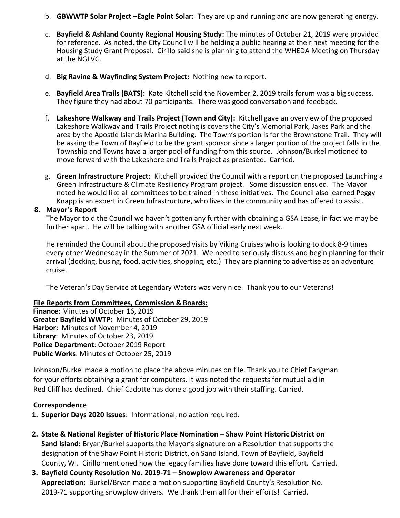- b. **GBWWTP Solar Project –Eagle Point Solar:** They are up and running and are now generating energy.
- c. **Bayfield & Ashland County Regional Housing Study:** The minutes of October 21, 2019 were provided for reference. As noted, the City Council will be holding a public hearing at their next meeting for the Housing Study Grant Proposal. Cirillo said she is planning to attend the WHEDA Meeting on Thursday at the NGLVC.
- d. **Big Ravine & Wayfinding System Project:** Nothing new to report.
- e. **Bayfield Area Trails (BATS):** Kate Kitchell said the November 2, 2019 trails forum was a big success. They figure they had about 70 participants. There was good conversation and feedback.
- f. **Lakeshore Walkway and Trails Project (Town and City):** Kitchell gave an overview of the proposed Lakeshore Walkway and Trails Project noting is covers the City's Memorial Park, Jakes Park and the area by the Apostle Islands Marina Building. The Town's portion is for the Brownstone Trail. They will be asking the Town of Bayfield to be the grant sponsor since a larger portion of the project falls in the Township and Towns have a larger pool of funding from this source. Johnson/Burkel motioned to move forward with the Lakeshore and Trails Project as presented. Carried.
- g. **Green Infrastructure Project:** Kitchell provided the Council with a report on the proposed Launching a Green Infrastructure & Climate Resiliency Program project. Some discussion ensued. The Mayor noted he would like all committees to be trained in these initiatives. The Council also learned Peggy Knapp is an expert in Green Infrastructure, who lives in the community and has offered to assist.

#### **8. Mayor's Report**

The Mayor told the Council we haven't gotten any further with obtaining a GSA Lease, in fact we may be further apart. He will be talking with another GSA official early next week.

He reminded the Council about the proposed visits by Viking Cruises who is looking to dock 8-9 times every other Wednesday in the Summer of 2021. We need to seriously discuss and begin planning for their arrival (docking, busing, food, activities, shopping, etc.) They are planning to advertise as an adventure cruise.

The Veteran's Day Service at Legendary Waters was very nice. Thank you to our Veterans!

### **File Reports from Committees, Commission & Boards:**

**Finance:** Minutes of October 16, 2019 **Greater Bayfield WWTP:** Minutes of October 29, 2019 **Harbor:** Minutes of November 4, 2019 **Library**: Minutes of October 23, 2019 **Police Department**: October 2019 Report **Public Works**: Minutes of October 25, 2019

Johnson/Burkel made a motion to place the above minutes on file. Thank you to Chief Fangman for your efforts obtaining a grant for computers. It was noted the requests for mutual aid in Red Cliff has declined. Chief Cadotte has done a good job with their staffing. Carried.

#### **Correspondence**

- **1. Superior Days 2020 Issues**: Informational, no action required.
- **2. State & National Register of Historic Place Nomination – Shaw Point Historic District on Sand Island:** Bryan/Burkel supports the Mayor's signature on a Resolution that supports the designation of the Shaw Point Historic District, on Sand Island, Town of Bayfield, Bayfield County, WI. Cirillo mentioned how the legacy families have done toward this effort. Carried.
- **3. Bayfield County Resolution No. 2019-71 – Snowplow Awareness and Operator Appreciation:** Burkel/Bryan made a motion supporting Bayfield County's Resolution No. 2019-71 supporting snowplow drivers. We thank them all for their efforts! Carried.